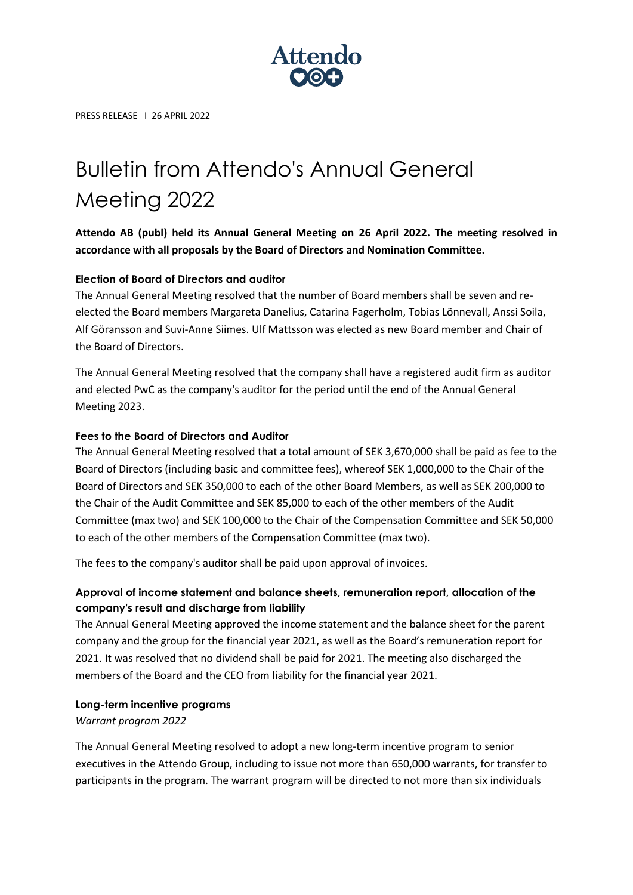

PRESS RELEASE I 26 APRIL 2022

# Bulletin from Attendo's Annual General Meeting 2022

**Attendo AB (publ) held its Annual General Meeting on 26 April 2022. The meeting resolved in accordance with all proposals by the Board of Directors and Nomination Committee.**

## **Election of Board of Directors and auditor**

The Annual General Meeting resolved that the number of Board members shall be seven and reelected the Board members Margareta Danelius, Catarina Fagerholm, Tobias Lönnevall, Anssi Soila, Alf Göransson and Suvi-Anne Siimes. Ulf Mattsson was elected as new Board member and Chair of the Board of Directors.

The Annual General Meeting resolved that the company shall have a registered audit firm as auditor and elected PwC as the company's auditor for the period until the end of the Annual General Meeting 2023.

## **Fees to the Board of Directors and Auditor**

The Annual General Meeting resolved that a total amount of SEK 3,670,000 shall be paid as fee to the Board of Directors (including basic and committee fees), whereof SEK 1,000,000 to the Chair of the Board of Directors and SEK 350,000 to each of the other Board Members, as well as SEK 200,000 to the Chair of the Audit Committee and SEK 85,000 to each of the other members of the Audit Committee (max two) and SEK 100,000 to the Chair of the Compensation Committee and SEK 50,000 to each of the other members of the Compensation Committee (max two).

The fees to the company's auditor shall be paid upon approval of invoices.

## **Approval of income statement and balance sheets, remuneration report, allocation of the company's result and discharge from liability**

The Annual General Meeting approved the income statement and the balance sheet for the parent company and the group for the financial year 2021, as well as the Board's remuneration report for 2021. It was resolved that no dividend shall be paid for 2021. The meeting also discharged the members of the Board and the CEO from liability for the financial year 2021.

### **Long-term incentive programs**

### *Warrant program 2022*

The Annual General Meeting resolved to adopt a new long-term incentive program to senior executives in the Attendo Group, including to issue not more than 650,000 warrants, for transfer to participants in the program. The warrant program will be directed to not more than six individuals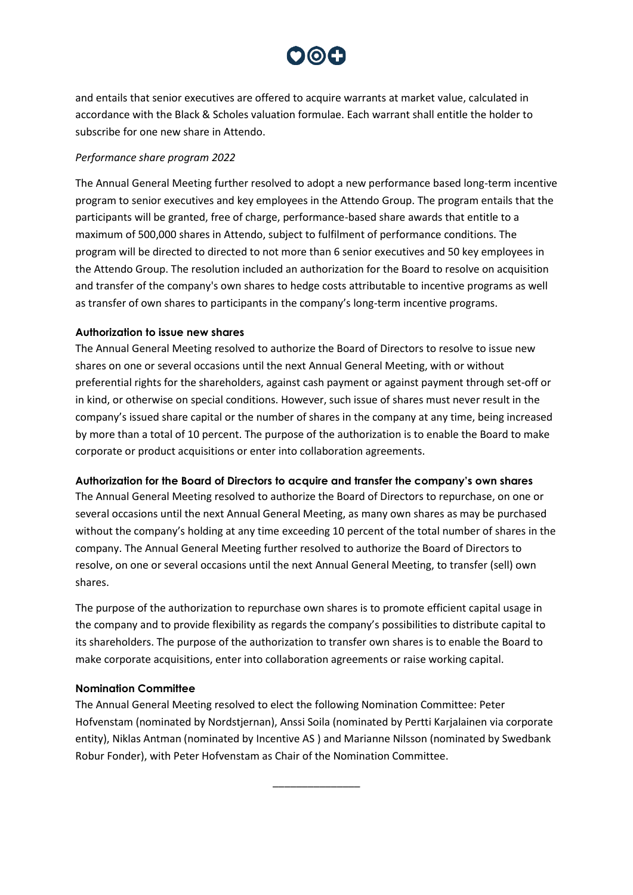

and entails that senior executives are offered to acquire warrants at market value, calculated in accordance with the Black & Scholes valuation formulae. Each warrant shall entitle the holder to subscribe for one new share in Attendo.

### *Performance share program 2022*

The Annual General Meeting further resolved to adopt a new performance based long-term incentive program to senior executives and key employees in the Attendo Group. The program entails that the participants will be granted, free of charge, performance-based share awards that entitle to a maximum of 500,000 shares in Attendo, subject to fulfilment of performance conditions. The program will be directed to directed to not more than 6 senior executives and 50 key employees in the Attendo Group. The resolution included an authorization for the Board to resolve on acquisition and transfer of the company's own shares to hedge costs attributable to incentive programs as well as transfer of own shares to participants in the company's long-term incentive programs.

#### **Authorization to issue new shares**

The Annual General Meeting resolved to authorize the Board of Directors to resolve to issue new shares on one or several occasions until the next Annual General Meeting, with or without preferential rights for the shareholders, against cash payment or against payment through set-off or in kind, or otherwise on special conditions. However, such issue of shares must never result in the company's issued share capital or the number of shares in the company at any time, being increased by more than a total of 10 percent. The purpose of the authorization is to enable the Board to make corporate or product acquisitions or enter into collaboration agreements.

### **Authorization for the Board of Directors to acquire and transfer the company's own shares**

The Annual General Meeting resolved to authorize the Board of Directors to repurchase, on one or several occasions until the next Annual General Meeting, as many own shares as may be purchased without the company's holding at any time exceeding 10 percent of the total number of shares in the company. The Annual General Meeting further resolved to authorize the Board of Directors to resolve, on one or several occasions until the next Annual General Meeting, to transfer (sell) own shares.

The purpose of the authorization to repurchase own shares is to promote efficient capital usage in the company and to provide flexibility as regards the company's possibilities to distribute capital to its shareholders. The purpose of the authorization to transfer own shares is to enable the Board to make corporate acquisitions, enter into collaboration agreements or raise working capital.

#### **Nomination Committee**

The Annual General Meeting resolved to elect the following Nomination Committee: Peter Hofvenstam (nominated by Nordstjernan), Anssi Soila (nominated by Pertti Karjalainen via corporate entity), Niklas Antman (nominated by Incentive AS ) and Marianne Nilsson (nominated by Swedbank Robur Fonder), with Peter Hofvenstam as Chair of the Nomination Committee.

\_\_\_\_\_\_\_\_\_\_\_\_\_\_\_